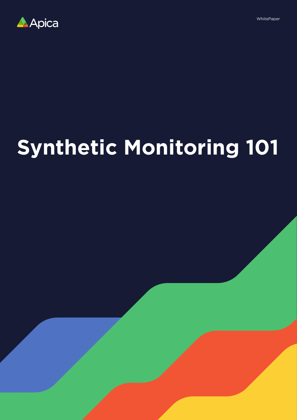

## **Synthetic Monitoring 101**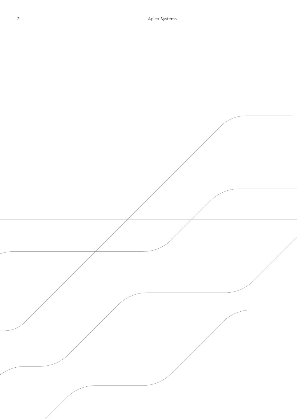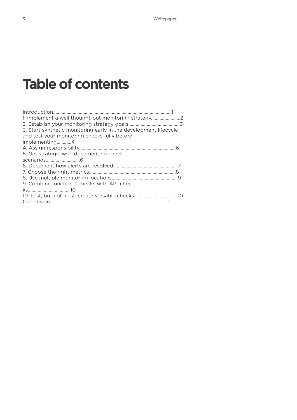### **Table of contents**

| 1. Implement a well thought-out monitoring strategy              |
|------------------------------------------------------------------|
|                                                                  |
| 3. Start synthetic monitoring early in the development lifecycle |
| and test your monitoring checks fully before                     |
| implementing4                                                    |
|                                                                  |
| 5. Get strategic with documenting check                          |
|                                                                  |
|                                                                  |
|                                                                  |
|                                                                  |
| 9. Combine functional checks with API-chec                       |
|                                                                  |
|                                                                  |
|                                                                  |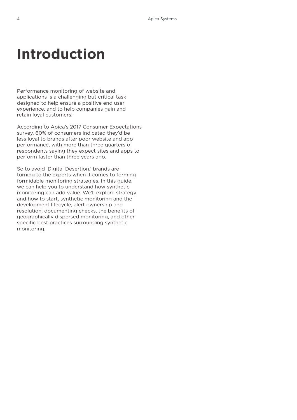#### **Introduction**

Performance monitoring of website and applications is a challenging but critical task designed to help ensure a positive end user experience, and to help companies gain and retain loyal customers.

According to Apica's 2017 Consumer Expectations survey, 60% of consumers indicated they'd be less loyal to brands after poor website and app performance, with more than three quarters of respondents saying they expect sites and apps to perform faster than three years ago.

So to avoid 'Digital Desertion,' brands are turning to the experts when it comes to forming formidable monitoring strategies. In this guide, we can help you to understand how synthetic monitoring can add value. We'll explore strategy and how to start, synthetic monitoring and the development lifecycle, alert ownership and resolution, documenting checks, the benefits of geographically dispersed monitoring, and other specific best practices surrounding synthetic monitoring.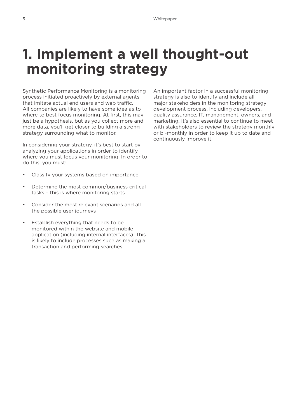#### **1. Implement a well thought-out monitoring strategy**

Synthetic Performance Monitoring is a monitoring process initiated proactively by external agents that imitate actual end users and web traffic. All companies are likely to have some idea as to where to best focus monitoring. At first, this may just be a hypothesis, but as you collect more and more data, you'll get closer to building a strong strategy surrounding what to monitor.

In considering your strategy, it's best to start by analyzing your applications in order to identify where you must focus your monitoring. In order to do this, you must:

- Classify your systems based on importance
- Determine the most common/business critical tasks – this is where monitoring starts
- Consider the most relevant scenarios and all the possible user journeys
- Establish everything that needs to be monitored within the website and mobile application (including internal interfaces). This is likely to include processes such as making a transaction and performing searches.

An important factor in a successful monitoring strategy is also to identify and include all major stakeholders in the monitoring strategy development process, including developers, quality assurance, IT, management, owners, and marketing. It's also essential to continue to meet with stakeholders to review the strategy monthly or bi-monthly in order to keep it up to date and continuously improve it.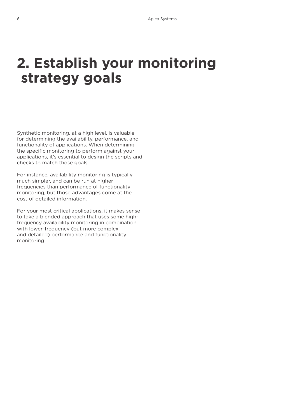#### **2. Establish your monitoring strategy goals**

Synthetic monitoring, at a high level, is valuable for determining the availability, performance, and functionality of applications. When determining the specific monitoring to perform against your applications, it's essential to design the scripts and checks to match those goals.

For instance, availability monitoring is typically much simpler, and can be run at higher frequencies than performance of functionality monitoring, but those advantages come at the cost of detailed information.

For your most critical applications, it makes sense to take a blended approach that uses some highfrequency availability monitoring in combination with lower-frequency (but more complex and detailed) performance and functionality monitoring.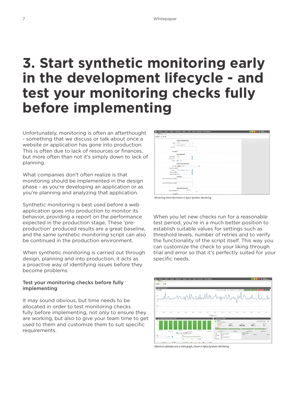#### **3. Start synthetic monitoring early in the development lifecycle - and test your monitoring checks fully before implementing**

Unfortunately, monitoring is often an afterthought - something that we discuss or talk about once a website or application has gone into production. This is often due to lack of resources or finances, but more often than not it's simply down to lack of planning.

What companies don't often realize is that monitoring should be implemented in the design phase - as you're developing an application or as you're planning and analyzing that application.

Synthetic monitoring is best used before a web application goes into production to monitor its behavior, providing a report on the performance expected in the production stage. These 'preproduction' produced results are a great baseline, and the same synthetic monitoring script can also be continued in the production environment.

When synthetic monitoring is carried out through design, planning and into production, it acts as a proactive way of identifying issues before they become problems.

#### Test your monitoring checks before fully implementing

It may sound obvious, but time needs to be allocated in order to test monitoring checks fully before implementing, not only to ensure they are working, but also to give your team time to get used to them and customize them to suit specific requirements.



Monitoring check information in Apica Synthetic Monitoring

When you let new checks run for a reasonable test period, you're in a much better position to establish suitable values for settings such as threshold levels, number of retries and to verify the functionality of the script itself. This way you can customize the check to your liking through trial and error so that it's perfectly suited for your specific needs.



Maximum attempts and a check graph, shown in Apica Synthetic Monitoring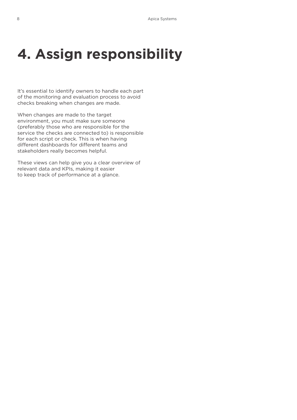### **4. Assign responsibility**

It's essential to identify owners to handle each part of the monitoring and evaluation process to avoid checks breaking when changes are made.

When changes are made to the target environment, you must make sure someone (preferably those who are responsible for the service the checks are connected to) is responsible for each script or check. This is when having different dashboards for different teams and stakeholders really becomes helpful.

These views can help give you a clear overview of relevant data and KPIs, making it easier to keep track of performance at a glance.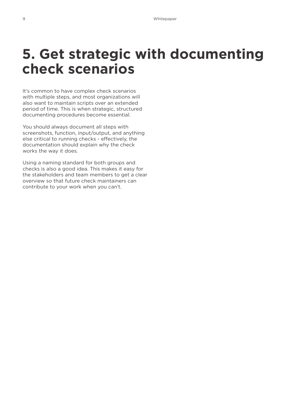#### **5. Get strategic with documenting check scenarios**

It's common to have complex check scenarios with multiple steps, and most organizations will also want to maintain scripts over an extended period of time. This is when strategic, structured documenting procedures become essential.

You should always document all steps with screenshots, function, input/output, and anything else critical to running checks - effectively, the documentation should explain why the check works the way it does.

Using a naming standard for both groups and checks is also a good idea. This makes it easy for the stakeholders and team members to get a clear overview so that future check maintainers can contribute to your work when you can't.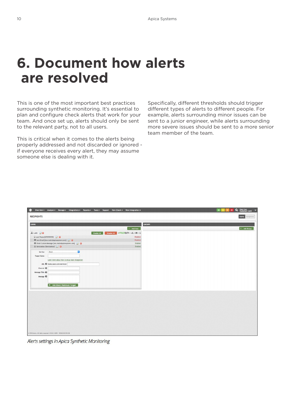#### **6. Document how alerts are resolved**

This is one of the most important best practices surrounding synthetic monitoring. It's essential to plan and configure check alerts that work for your team. And once set up, alerts should only be sent to the relevant party, not to all users.

This is critical when it comes to the alerts being properly addressed and not discarded or ignored if everyone receives every alert, they may assume someone else is dealing with it.

Specifically, different thresholds should trigger different types of alerts to different people. For example, alerts surrounding minor issues can be sent to a junior engineer, while alerts surrounding more severe issues should be sent to a more senior team member of the team.

| Overview > Analyze > Manage > Integrations > Reports > Tools > Support New Check + New Integration + |                                             | <b>75 Q</b> User: lars<br>Customer: Lars2<br>33 |
|------------------------------------------------------------------------------------------------------|---------------------------------------------|-------------------------------------------------|
| <b>RECIPIENTS</b>                                                                                    |                                             | Alers Recipients                                |
|                                                                                                      |                                             | <b>GROUPS</b>                                   |
|                                                                                                      | $+$ Add User                                | $+$ Add Group                                   |
| $L$ LARS $B$                                                                                         | DSAMI +PRSERDUTY + & + 25 + E<br>Enable All |                                                 |
| a Lars Phone [0799999999]                                                                            | Disabled                                    |                                                 |
| <b>25</b> Lars Email [lars.malm@apicasystem.com]                                                     | Disabled                                    |                                                 |
| E Email Custom Message (lars.malm@apicasystem.com)                                                   | Enabled                                     |                                                 |
| & ServiceNow [ServiceNow]                                                                            | Enabled                                     |                                                 |
| 圓<br>Sack<br>Service<br>Target Name                                                                  |                                             |                                                 |
| Learn more about how to setup stack integration                                                      |                                             |                                                 |
| URL @ hooks.slack.com/services/                                                                      |                                             |                                                 |
| Channel @                                                                                            |                                             |                                                 |
| Message Title @                                                                                      |                                             |                                                 |
|                                                                                                      |                                             |                                                 |
| Mossage O<br><b>C</b> Add Slack WebHook Target                                                       |                                             |                                                 |
|                                                                                                      |                                             |                                                 |
|                                                                                                      |                                             |                                                 |
|                                                                                                      |                                             |                                                 |
|                                                                                                      |                                             |                                                 |
|                                                                                                      |                                             |                                                 |
|                                                                                                      |                                             |                                                 |
|                                                                                                      |                                             |                                                 |
|                                                                                                      |                                             |                                                 |
|                                                                                                      |                                             |                                                 |
|                                                                                                      |                                             |                                                 |
|                                                                                                      |                                             |                                                 |

Alerts settings in Apica Synthetic Monitoring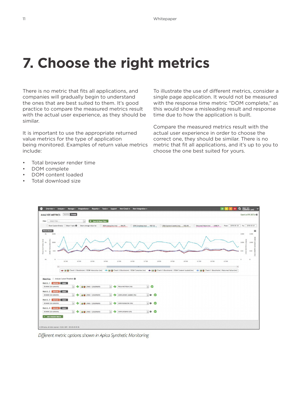#### **7. Choose the right metrics**

There is no metric that fits all applications, and companies will gradually begin to understand the ones that are best suited to them. It's good practice to compare the measured metrics result with the actual user experience, as they should be similar.

It is important to use the appropriate returned value metrics for the type of application being monitored. Examples of return value metrics include:

- Total browser render time
- DOM complete
- DOM content loaded
- Total download size

To illustrate the use of different metrics, consider a single page application. It would not be measured with the response time metric "DOM complete," as this would show a misleading result and response time due to how the application is built.

Compare the measured metrics result with the actual user experience in order to choose the correct one, they should be similar. There is no metric that fit all applications, and it's up to you to choose the one best suited for yours.



Different metric options shown in Apica Synthetic Monitoring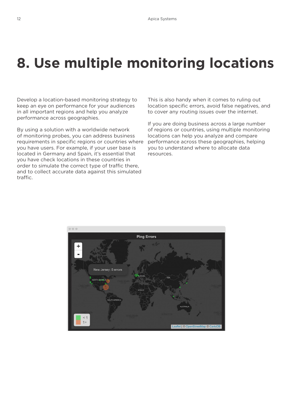## **8. Use multiple monitoring locations**

Develop a location-based monitoring strategy to keep an eye on performance for your audiences in all important regions and help you analyze performance across geographies.

By using a solution with a worldwide network of monitoring probes, you can address business requirements in specific regions or countries where you have users. For example, if your user base is located in Germany and Spain, it's essential that you have check locations in these countries in order to simulate the correct type of traffic there, and to collect accurate data against this simulated traffic.

This is also handy when it comes to ruling out location specific errors, avoid false negatives, and to cover any routing issues over the internet.

If you are doing business across a large number of regions or countries, using multiple monitoring locations can help you analyze and compare performance across these geographies, helping you to understand where to allocate data resources.

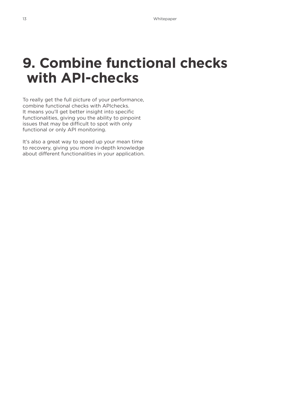#### **9. Combine functional checks with API-checks**

To really get the full picture of your performance, combine functional checks with APIchecks. It means you'll get better insight into specific functionalities, giving you the ability to pinpoint issues that may be difficult to spot with only functional or only API monitoring.

It's also a great way to speed up your mean time to recovery, giving you more in-depth knowledge about different functionalities in your application.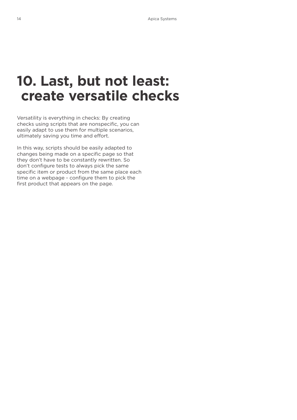#### **10. Last, but not least: create versatile checks**

Versatility is everything in checks: By creating checks using scripts that are nonspecific, you can easily adapt to use them for multiple scenarios, ultimately saving you time and effort.

In this way, scripts should be easily adapted to changes being made on a specific page so that they don't have to be constantly rewritten. So don't configure tests to always pick the same specific item or product from the same place each time on a webpage - configure them to pick the first product that appears on the page.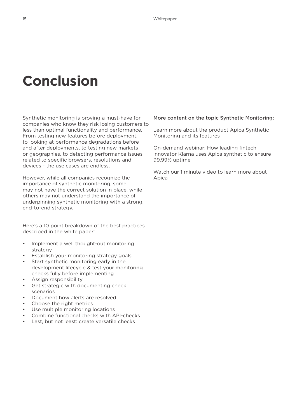#### **Conclusion**

Synthetic monitoring is proving a must-have for companies who know they risk losing customers to less than optimal functionality and performance. From testing new features before deployment, to looking at performance degradations before and after deployments, to testing new markets or geographies, to detecting performance issues related to specific browsers, resolutions and devices - the use cases are endless.

However, while all companies recognize the importance of synthetic monitoring, some may not have the correct solution in place, while others may not understand the importance of underpinning synthetic monitoring with a strong, end-to-end strategy.

Here's a 10 point breakdown of the best practices described in the white paper:

- Implement a well thought-out monitoring strategy
- Establish your monitoring strategy goals
- Start synthetic monitoring early in the development lifecycle & test your monitoring checks fully before implementing
- Assign responsibility
- Get strategic with documenting check scenarios
- Document how alerts are resolved
- Choose the right metrics
- Use multiple monitoring locations
- Combine functional checks with API-checks
- Last, but not least; create versatile checks

#### More content on the topic Synthetic Monitoring:

Learn more about the product Apica Synthetic Monitoring and its features

On-demand webinar: How leading fintech innovator Klarna uses Apica synthetic to ensure 99.99% uptime

Watch our 1 minute video to learn more about Apica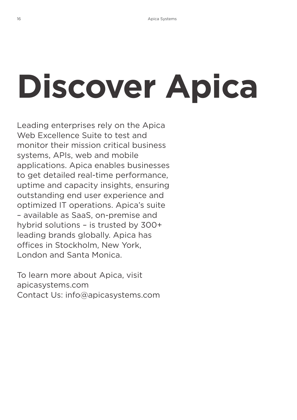# **Discover Apica**

Leading enterprises rely on the Apica Web Excellence Suite to test and monitor their mission critical business systems, APIs, web and mobile applications. Apica enables businesses to get detailed real-time performance, uptime and capacity insights, ensuring outstanding end user experience and optimized IT operations. Apica's suite – available as SaaS, on-premise and hybrid solutions – is trusted by 300+ leading brands globally. Apica has offices in Stockholm, New York, London and Santa Monica.

To learn more about Apica, visit apicasystems.com Contact Us: info@apicasystems.com